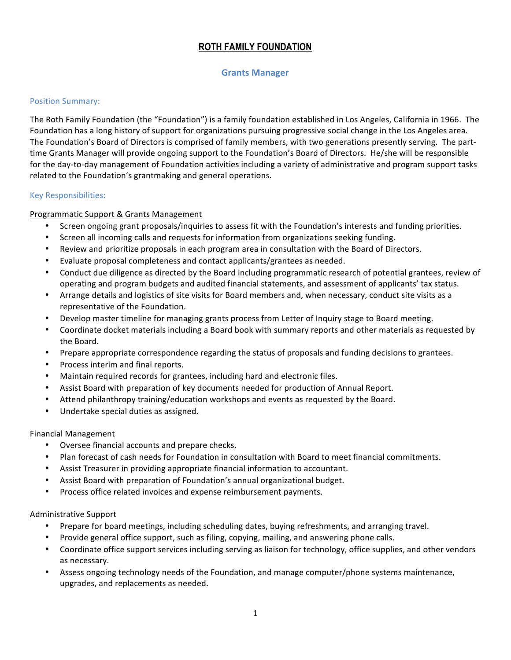# **ROTH FAMILY FOUNDATION**

## **Grants'Manager**

#### Position Summary:

The Roth Family Foundation (the "Foundation") is a family foundation established in Los Angeles, California in 1966. The Foundation has a long history of support for organizations pursuing progressive social change in the Los Angeles area. The Foundation's Board of Directors is comprised of family members, with two generations presently serving. The parttime Grants Manager will provide ongoing support to the Foundation's Board of Directors. He/she will be responsible for the day-to-day management of Foundation activities including a variety of administrative and program support tasks related to the Foundation's grantmaking and general operations.

#### Key Responsibilities:

## Programmatic Support & Grants Management

- Screen ongoing grant proposals/inquiries to assess fit with the Foundation's interests and funding priorities.
- Screen all incoming calls and requests for information from organizations seeking funding.
- Review and prioritize proposals in each program area in consultation with the Board of Directors.
- Evaluate proposal completeness and contact applicants/grantees as needed.
- Conduct due diligence as directed by the Board including programmatic research of potential grantees, review of operating and program budgets and audited financial statements, and assessment of applicants' tax status.
- Arrange details and logistics of site visits for Board members and, when necessary, conduct site visits as a representative of the Foundation.
- Develop master timeline for managing grants process from Letter of Inquiry stage to Board meeting.
- Coordinate docket materials including a Board book with summary reports and other materials as requested by the Board.
- Prepare appropriate correspondence regarding the status of proposals and funding decisions to grantees.
- Process interim and final reports.
- Maintain required records for grantees, including hard and electronic files.
- Assist Board with preparation of key documents needed for production of Annual Report.
- Attend philanthropy training/education workshops and events as requested by the Board.
- Undertake special duties as assigned.

## Financial Management

- Oversee financial accounts and prepare checks.
- Plan forecast of cash needs for Foundation in consultation with Board to meet financial commitments.
- Assist Treasurer in providing appropriate financial information to accountant.
- Assist Board with preparation of Foundation's annual organizational budget.
- Process office related invoices and expense reimbursement payments.

## Administrative Support

- Prepare for board meetings, including scheduling dates, buying refreshments, and arranging travel.
- Provide general office support, such as filing, copying, mailing, and answering phone calls.
- Coordinate office support services including serving as liaison for technology, office supplies, and other vendors as necessary.
- Assess ongoing technology needs of the Foundation, and manage computer/phone systems maintenance, upgrades, and replacements as needed.